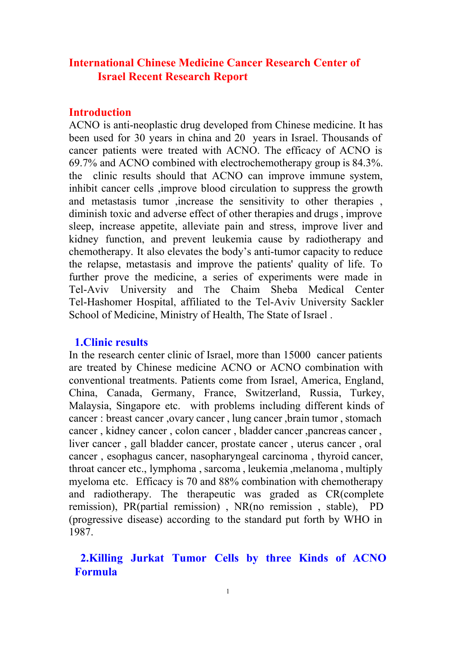# **International Chinese Medicine Cancer Research Center of Israel Recent Research Report**

## **Introduction**

ACNO is anti-neoplastic drug developed from Chinese medicine. It has been used for 30 years in china and 20 years in Israel. Thousands of cancer patients were treated with ACNO. The efficacy of ACNO is 69.7% and ACNO combined with electrochemotherapy group is 84.3%. the clinic results should that ACNO can improve immune system, inhibit cancer cells ,improve blood circulation to suppress the growth and metastasis tumor ,increase the sensitivity to other therapies , diminish toxic and adverse effect of other therapies and drugs , improve sleep, increase appetite, alleviate pain and stress, improve liver and kidney function, and prevent leukemia cause by radiotherapy and chemotherapy. It also elevates the body's anti-tumor capacity to reduce the relapse, metastasis and improve the patients' quality of life. To further prove the medicine, a series of experiments were made in TelAviv University and The Chaim Sheba Medical Center Tel-Hashomer Hospital, affiliated to the Tel-Aviv University Sackler School of Medicine, Ministry of Health, The State of Israel .

## **1.Clinic results**

In the research center clinic of Israel, more than 15000 cancer patients are treated by Chinese medicine ACNO or ACNO combination with conventional treatments. Patients come from Israel, America, England, China, Canada, Germany, France, Switzerland, Russia, Turkey, Malaysia, Singapore etc. with problems including different kinds of cancer : breast cancer , ovary cancer , lung cancer , brain tumor , stomach cancer, kidney cancer, colon cancer, bladder cancer, pancreas cancer, liver cancer , gall bladder cancer, prostate cancer , uterus cancer , oral cancer , esophagus cancer, nasopharyngeal carcinoma , thyroid cancer, throat cancer etc., lymphoma , sarcoma , leukemia ,melanoma , multiply myeloma etc. Efficacy is 70 and 88% combination with chemotherapy and radiotherapy. The therapeutic was graded as CR(complete remission), PR(partial remission) , NR(no remission , stable), PD (progressive disease) according to the standard put forth by WHO in 1987.

# **2.Killing Jurkat Tumor Cells by three Kinds of ACNO Formula**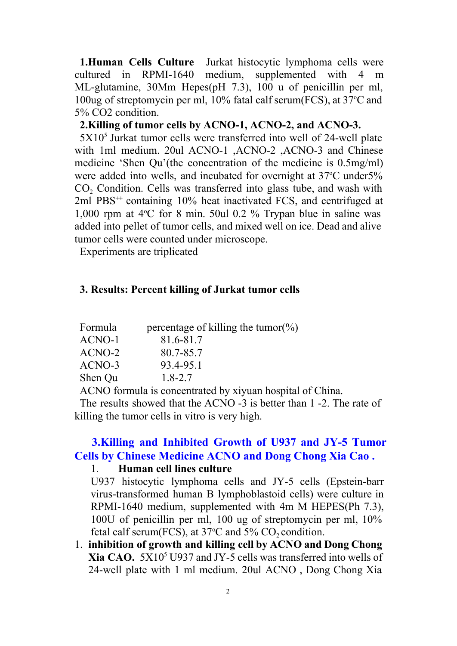**1.Human Cells Culture** Jurkat histocytic lymphoma cells were cultured in RPMI-1640 medium, supplemented with 4 m supplemented with  $4 \text{ m}$ ML-glutamine, 30Mm Hepes(pH 7.3), 100 u of penicillin per ml, 100ug of streptomycin per ml, 10% fatal calf serum(FCS), at 37°C and 5% CO2 condition.

## **2.Killing of tumor cells by ACNO1, ACNO2, and ACNO3.**

 $5X10<sup>5</sup>$  Jurkat tumor cells were transferred into well of 24-well plate with 1ml medium. 20ul ACNO-1 , ACNO-2 , ACNO-3 and Chinese medicine 'Shen Qu'(the concentration of the medicine is 0.5mg/ml) were added into wells, and incubated for overnight at 37°C under5% CO<sub>2</sub> Condition. Cells was transferred into glass tube, and wash with 2ml PBS<sup>++</sup> containing 10% heat inactivated FCS, and centrifuged at 1,000 rpm at  $4^{\circ}$ C for 8 min. 50ul 0.2 % Trypan blue in saline was added into pellet of tumor cells, and mixed well on ice. Dead and alive tumor cells were counted under microscope.

Experiments are triplicated

### **3. Results: Percent killing of Jurkat tumor cells**

| Formula    | percentage of killing the tumor(%) |
|------------|------------------------------------|
| ACNO-1     | 81.6-81.7                          |
| ACNO-2     | 80.7-85.7                          |
| ACNO-3     | 93.4-95.1                          |
| Shen Qu    | $1.8 - 2.7$                        |
| $\sqrt{2}$ | $\cdot$ 1                          |

ACNO formula is concentrated by xiyuan hospital of China.

The results showed that the ACNO -3 is better than 1 -2. The rate of killing the tumor cells in vitro is very high.

# **3.Killing and Inhibited Growth of U937 and JY5 Tumor Cells by Chinese Medicine ACNO and Dong Chong Xia Cao .**

### 1. **Human cell lines culture**

U937 histocytic lymphoma cells and JY-5 cells (Epstein-barr virus-transformed human B lymphoblastoid cells) were culture in RPMI-1640 medium, supplemented with 4m M HEPES(Ph  $7.3$ ), 100U of penicillin per ml, 100 ug of streptomycin per ml, 10% fetal calf serum(FCS), at  $37^{\circ}$ C and  $5\%$  CO<sub>2</sub> condition.

1. **inhibition of growth and killing cell by ACNO and Dong Chong Xia CAO.** 5X10<sup>5</sup> U937 and JY-5 cells was transferred into wells of 24well plate with 1 ml medium. 20ul ACNO , Dong Chong Xia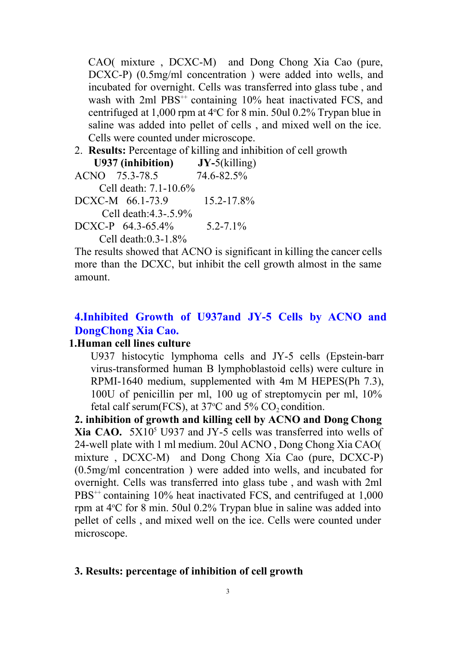$CAO($  mixture,  $DCXC-M$ ) and Dong Chong Xia Cao (pure, DCXC-P) (0.5mg/ml concentration) were added into wells, and incubated for overnight. Cells was transferred into glass tube , and wash with 2ml PBS<sup>++</sup> containing 10% heat inactivated FCS, and centrifuged at  $1,000$  rpm at  $4^{\circ}$ C for 8 min. 50ul 0.2% Trypan blue in saline was added into pellet of cells , and mixed well on the ice. Cells were counted under microscope.

2. **Results:** Percentage of killing and inhibition of cell growth U937 (inhibition)  $JY$ -5(killing)

**U937 (inhibition) <b>JY-5** (killing **NO** 75.3-78.5 74.6-82.5%)

ACNO 75.3-78.5

Cell death:  $7.1 - 10.6\%$ 

 $DCXC-M$  66.1-73.9 15.2-17.8% Cell death: $4.3 - 5.9\%$ 

DCXC-P  $64.3-65.4\%$  5.2-7.1%

Cell death: $0.3-1.8%$ 

The results showed that ACNO is significant in killing the cancer cells more than the DCXC, but inhibit the cell growth almost in the same amount.

## **4.Inhibited Growth of U937and JY5 Cells by ACNO and DongChong Xia Cao.**

### **1.Human cell lines culture**

U937 histocytic lymphoma cells and JY-5 cells (Epstein-barr virus-transformed human B lymphoblastoid cells) were culture in RPMI-1640 medium, supplemented with 4m M HEPES(Ph  $7.3$ ), 100U of penicillin per ml, 100 ug of streptomycin per ml, 10% fetal calf serum(FCS), at  $37^{\circ}$ C and  $5\%$  CO<sub>2</sub> condition.

**2. inhibition of growth and killing cell by ACNO and Dong Chong Xia CAO.** 5X10<sup>5</sup> U937 and JY-5 cells was transferred into wells of 24-well plate with 1 ml medium. 20ul ACNO, Dong Chong Xia CAO mixture,  $DCXC-M$ ) and Dong Chong Xia Cao (pure,  $DCXC-P$ ) (0.5mg/ml concentration ) were added into wells, and incubated for overnight. Cells was transferred into glass tube , and wash with 2ml PBS<sup>++</sup> containing 10% heat inactivated FCS, and centrifuged at 1,000 rpm at 4°C for 8 min. 50ul 0.2% Trypan blue in saline was added into pellet of cells , and mixed well on the ice. Cells were counted under microscope.

### **3. Results: percentage of inhibition of cell growth**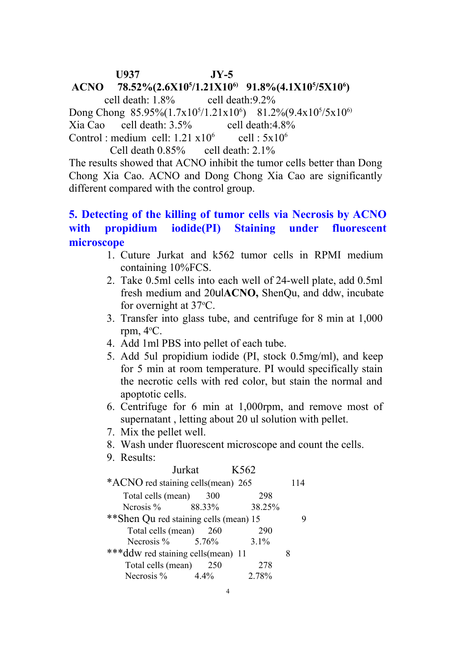U937 **JY-5** 

# **ACNO 78.52%(2.6X10<sup>5</sup>/1.21X10<sup>6</sup>) 91.8%(4.1X10<sup>5</sup>/5X10<sup>6</sup>) cell death: 1.8% cell death: 9.2%**

cell death: $9.2%$ Dong Chong  $85.95\%(1.7x10<sup>5</sup>/1.21x10<sup>6</sup>)$   $81.2\%(9.4x10<sup>5</sup>/5x10<sup>6</sup>)$ Xia Cao cell death: 3.5% cell death:4.8% Control : medium cell:  $1.21 \times 10^6$  $6 \text{ cell} : 5x10^6$ Cell death  $0.85\%$  cell death:  $2.1\%$ 

The results showed that ACNO inhibit the tumor cells better than Dong Chong Xia Cao. ACNO and Dong Chong Xia Cao are significantly different compared with the control group.

# **5. Detecting of the killing of tumor cells via Necrosis by ACNO with propidium iodide(PI) Staining under fluorescent microscope**

- 1. Cuture Jurkat and k562 tumor cells in RPMI medium containing 10%FCS.
- 2. Take 0.5ml cells into each well of 24-well plate, add 0.5ml fresh medium and 20ul**ACNO,** ShenQu, and ddw, incubate for overnight at  $37^{\circ}$ C.
- 3. Transfer into glass tube, and centrifuge for 8 min at 1,000 rpm,  $4^{\circ}$ C.
- 4. Add 1ml PBS into pellet of each tube.
- 5. Add 5ul propidium iodide (PI, stock 0.5mg/ml), and keep for 5 min at room temperature. PI would specifically stain the necrotic cells with red color, but stain the normal and apoptotic cells.
- 6. Centrifuge for 6 min at 1,000rpm, and remove most of supernatant , letting about 20 ul solution with pellet.
- 7. Mix the pellet well.
- 8. Wash under fluorescent microscope and count the cells.
- 9. Results:

| Jurkat                                  | K <sub>562</sub> |
|-----------------------------------------|------------------|
| *ACNO red staining cells (mean) 265     | 114              |
| Total cells (mean)                      | 298<br>300       |
| Nerosis $\%$ 88.33%                     | 38.25%           |
| ** Shen Qu red staining cells (mean) 15 |                  |
| Total cells (mean) 260                  | 290              |
| Necrosis $\%$ 5.76%                     | $3.1\%$          |
| ***ddw red staining cells(mean) 11      | 8                |
| Total cells (mean)                      | 278<br>-250      |
| Necrosis $%$<br>$4.4\%$                 | 2.78%            |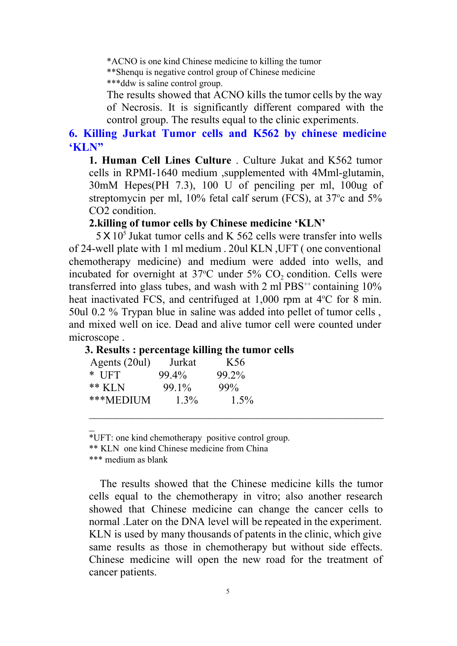\*ACNO is one kind Chinese medicine to killing the tumor \*\*Shenqu is negative control group of Chinese medicine \*\*\*ddw is saline control group.

The results showed that ACNO kills the tumor cells by the way of Necrosis. It is significantly different compared with the control group. The results equal to the clinic experiments.

## **6. Killing Jurkat Tumor cells and K562 by chinese medicine 'KLN"**

**1. Human Cell Lines Culture** . Culture Jukat and K562 tumor cells in RPMI-1640 medium ,supplemented with 4Mml-glutamin, 30mM Hepes(PH 7.3), 100 U of penciling per ml, 100ug of streptomycin per ml,  $10\%$  fetal calf serum (FCS), at  $37^{\circ}$ c and  $5\%$ CO2 condition.

### **2.killing of tumor cells by Chinese medicine 'KLN'**

 $5 \times 10^5$  Jukat tumor cells and K 562 cells were transfer into wells of 24well plate with 1 ml medium . 20ul KLN ,UFT ( one conventional chemotherapy medicine) and medium were added into wells, and incubated for overnight at  $37^{\circ}$ C under  $5\%$  CO<sub>2</sub> condition. Cells were transferred into glass tubes, and wash with  $2 \text{ ml } PBS^{++}$  containing  $10\%$ heat inactivated FCS, and centrifuged at  $1,000$  rpm at  $4^{\circ}$ C for 8 min. 50ul 0.2 % Trypan blue in saline was added into pellet of tumor cells , and mixed well on ice. Dead and alive tumor cell were counted under microscope .

### **3. Results : percentage killing the tumor cells**

| Agents (20ul) | Jurkat  | K <sub>56</sub> |
|---------------|---------|-----------------|
| $*$ UFT       | 99.4%   | 99.2%           |
| $**$ KLN      | 99.1%   | 99%             |
| ***MEDIUM     | $1.3\%$ | $1.5\%$         |

\*UFT: one kind chemotherapy positive control group.

\*\* KLN one kind Chinese medicine from China

\*\*\* medium as blank

\_

The results showed that the Chinese medicine kills the tumor cells equal to the chemotherapy in vitro; also another research showed that Chinese medicine can change the cancer cells to normal .Later on the DNA level will be repeated in the experiment. KLN is used by many thousands of patents in the clinic, which give same results as those in chemotherapy but without side effects. Chinese medicine will open the new road for the treatment of cancer patients.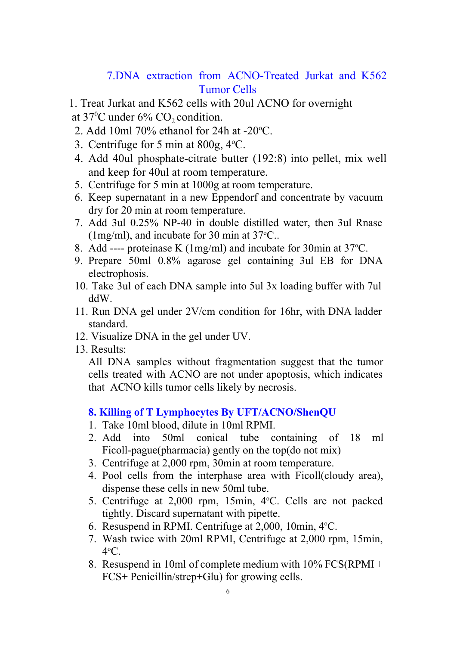# 7. DNA extraction from ACNO-Treated Jurkat and K562 Tumor Cells

- 1. Treat Jurkat and K562 cells with 20ul ACNO for overnight
- at 37<sup>o</sup>C under 6%  $CO_2$  condition.
- 2. Add 10ml 70% ethanol for 24h at  $-20^{\circ}$ C.
- 3. Centrifuge for 5 min at 800g, 4°C.
- 4. Add 40ul phosphate-citrate butter (192:8) into pellet, mix well and keep for 40ul at room temperature.
- 5. Centrifuge for 5 min at 1000g at room temperature.
- 6. Keep supernatant in a new Eppendorf and concentrate by vacuum dry for 20 min at room temperature.
- 7. Add 3ul 0.25% NP40 in double distilled water, then 3ul Rnase (1mg/ml), and incubate for 30 min at  $37^{\circ}$ C..
- 8. Add ---- proteinase K (1mg/ml) and incubate for 30min at  $37^{\circ}$ C.
- 9. Prepare 50ml 0.8% agarose gel containing 3ul EB for DNA electrophosis.
- 10. Take 3ul of each DNA sample into 5ul 3x loading buffer with 7ul ddW.
- 11. Run DNA gel under 2V/cm condition for 16hr, with DNA ladder standard.
- 12. Visualize DNA in the gel under UV.
- 13. Results:

All DNA samples without fragmentation suggest that the tumor cells treated with ACNO are not under apoptosis, which indicates that ACNO kills tumor cells likely by necrosis.

### **8. Killing of T Lymphocytes By UFT/ACNO/ShenQU**

- 1. Take 10ml blood, dilute in 10ml RPMI.
- 2. Add into 50ml conical tube containing of 18 ml Ficoll-pague(pharmacia) gently on the top(do not mix)
- 3. Centrifuge at 2,000 rpm, 30min at room temperature.
- 4. Pool cells from the interphase area with Ficoll(cloudy area), dispense these cells in new 50ml tube.
- 5. Centrifuge at 2,000 rpm, 15min, 4°C. Cells are not packed tightly. Discard supernatant with pipette.
- 6. Resuspend in RPMI. Centrifuge at 2,000, 10min, 4°C.
- 7. Wash twice with 20ml RPMI, Centrifuge at 2,000 rpm, 15min, 4 <sup>o</sup>C.
- 8. Resuspend in 10ml of complete medium with 10% FCS(RPMI + FCS+ Penicillin/strep+Glu) for growing cells.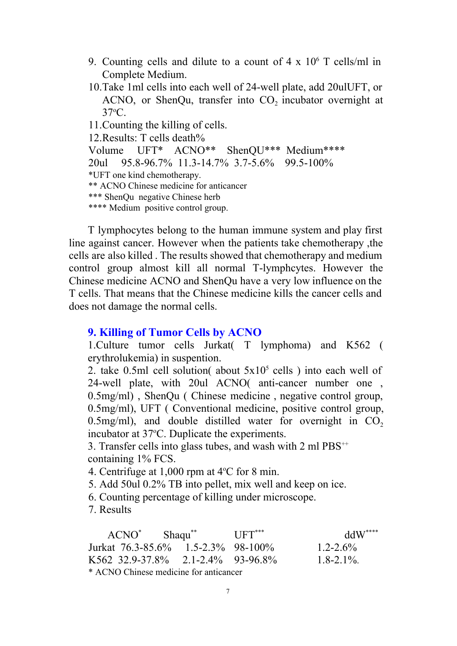- 9. Counting cells and dilute to a count of  $4 \times 10^6$  T cells/ml in Complete Medium.
- 10. Take 1 ml cells into each well of 24-well plate, add 20ulUFT, or ACNO, or ShenQu, transfer into  $CO<sub>2</sub>$  incubator overnight at 37<sup>o</sup>C.

11.Counting the killing of cells.

12.Results: T cells death%

Volume UFT\* ACNO\*\* ShenQU\*\*\* Medium\*\*\*\* 20ul 95.8-96.7% 11.3-14.7% 3.7-5.6% 99.5-100% \*UFT one kind chemotherapy. \*\* ACNO Chinese medicine for anticancer \*\*\* ShenQu negative Chinese herb \*\*\*\* Medium positive control group.

T lymphocytes belong to the human immune system and play first line against cancer. However when the patients take chemotherapy ,the cells are also killed . The results showed that chemotherapy and medium control group almost kill all normal T-lymphcytes. However the Chinese medicine ACNO and ShenQu have a very low influence on the T cells. That means that the Chinese medicine kills the cancer cells and does not damage the normal cells.

## **9. Killing of Tumor Cells by ACNO**

1.Culture tumor cells Jurkat( T lymphoma) and K562 ( erythrolukemia) in suspention.

2. take 0.5ml cell solution( about  $5x10^5$  cells) into each well of 24well plate, with 20ul ACNO( anticancer number one , 0.5mg/ml) , ShenQu ( Chinese medicine , negative control group, 0.5mg/ml), UFT ( Conventional medicine, positive control group, 0.5mg/ml), and double distilled water for overnight in  $CO<sub>2</sub>$ incubator at 37°C. Duplicate the experiments.

3. Transfer cells into glass tubes, and wash with 2 ml PBS<sup>++</sup> containing 1% FCS.

4. Centrifuge at  $1,000$  rpm at  $4^{\circ}$ C for 8 min.

5. Add 50ul 0.2% TB into pellet, mix well and keep on ice.

6. Counting percentage of killing under microscope.

7. Results

| $ACNO^*$ Shaqu <sup>**</sup>           |  | $IIFT***$ | $ddW^{***}$   |  |  |  |
|----------------------------------------|--|-----------|---------------|--|--|--|
| Jurkat 76.3-85.6% 1.5-2.3% 98-100%     |  |           | $1.2 - 2.6\%$ |  |  |  |
| K562 32.9-37.8% 2.1-2.4% 93-96.8%      |  |           | $1.8 - 2.1\%$ |  |  |  |
| * ACNO Chinese medicine for anticancer |  |           |               |  |  |  |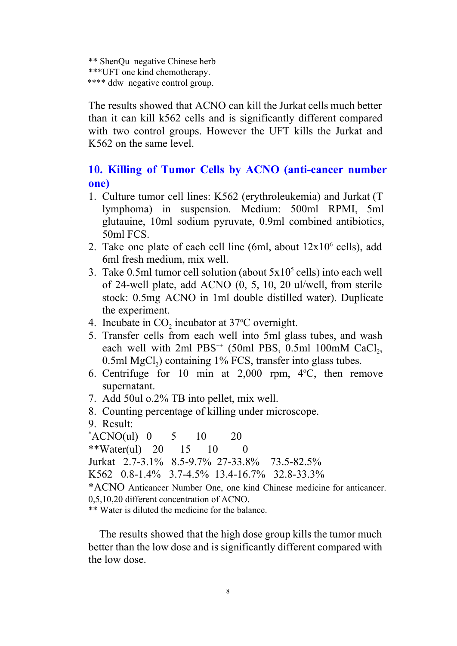```
** ShenQu negative Chinese herb
***UFT one kind chemotherapy.
**** ddw negative control group.
```
The results showed that ACNO can kill the Jurkat cells much better than it can kill k562 cells and is significantly different compared with two control groups. However the UFT kills the Jurkat and K562 on the same level.

# 10. **Killing of Tumor Cells by ACNO** (anti-cancer number **one)**

- 1. Culture tumor cell lines: K562 (erythroleukemia) and Jurkat (T lymphoma) in suspension. Medium: 500ml RPMI, 5ml glutauine, 10ml sodium pyruvate, 0.9ml combined antibiotics, 50ml FCS.
- 2. Take one plate of each cell line (6ml, about  $12x10^6$  cells), add 6ml fresh medium, mix well.
- 3. Take 0.5ml tumor cell solution (about  $5x10^5$  cells) into each well of 24well plate, add ACNO (0, 5, 10, 20 ul/well, from sterile stock: 0.5mg ACNO in 1ml double distilled water). Duplicate the experiment.
- 4. Incubate in  $CO<sub>2</sub>$  incubator at 37 $\degree$ C overnight.
- 5. Transfer cells from each well into 5ml glass tubes, and wash each well with  $2ml$  PBS<sup>++</sup> (50ml PBS, 0.5ml 100mM CaCl<sub>2</sub>,  $0.5$ ml MgCl<sub>2</sub>) containing 1% FCS, transfer into glass tubes.
- 6. Centrifuge for 10 min at  $2,000$  rpm,  $4^{\circ}$ C, then remove supernatant.
- 7. Add 50ul o.2% TB into pellet, mix well.
- 8. Counting percentage of killing under microscope.
- 9. Result:

 $*ACNO(ul)$  0 5 10 20

\*\*Water(ul) 20 15 10 0

Jurkat 2.7-3.1% 8.5-9.7% 27-33.8% 73.5-82.5%

K562 0.8-1.4% 3.7-4.5% 13.4-16.7% 32.8-33.3%

\*ACNO Anticancer Number One, one kind Chinese medicine for anticancer. 0,5,10,20 different concentration of ACNO.

\*\* Water is diluted the medicine for the balance.

The results showed that the high dose group kills the tumor much better than the low dose and is significantly different compared with the low dose.